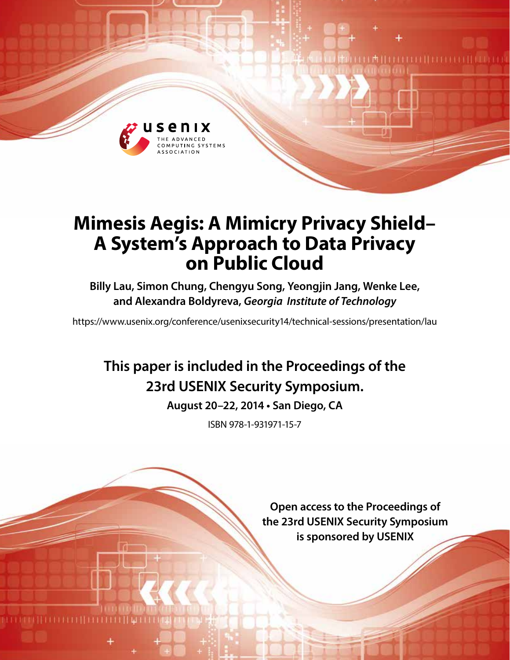

# **Mimesis Aegis: A Mimicry Privacy Shield– A System's Approach to Data Privacy on Public Cloud**

**Billy Lau, Simon Chung, Chengyu Song, Yeongjin Jang, Wenke Lee, and Alexandra Boldyreva,** *Georgia Institute of Technology*

https://www.usenix.org/conference/usenixsecurity14/technical-sessions/presentation/lau

## **This paper is included in the Proceedings of the 23rd USENIX Security Symposium.**

**August 20–22, 2014 • San Diego, CA**

ISBN 978-1-931971-15-7

**Open access to the Proceedings of the 23rd USENIX Security Symposium is sponsored by USENIX**

manan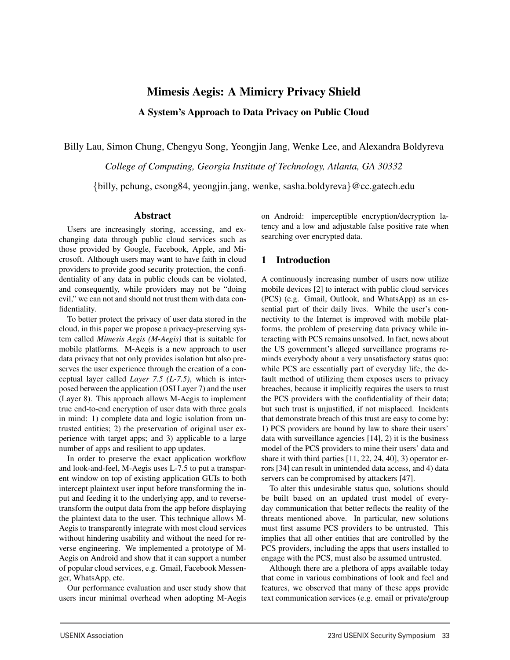## Mimesis Aegis: A Mimicry Privacy Shield

A System's Approach to Data Privacy on Public Cloud

Billy Lau, Simon Chung, Chengyu Song, Yeongjin Jang, Wenke Lee, and Alexandra Boldyreva

*College of Computing, Georgia Institute of Technology, Atlanta, GA 30332*

{billy, pchung, csong84, yeongjin.jang, wenke, sasha.boldyreva}@cc.gatech.edu

1

### Abstract

Users are increasingly storing, accessing, and exchanging data through public cloud services such as those provided by Google, Facebook, Apple, and Microsoft. Although users may want to have faith in cloud providers to provide good security protection, the confidentiality of any data in public clouds can be violated, and consequently, while providers may not be "doing evil," we can not and should not trust them with data confidentiality.

To better protect the privacy of user data stored in the cloud, in this paper we propose a privacy-preserving system called *Mimesis Aegis (M-Aegis)* that is suitable for mobile platforms. M-Aegis is a new approach to user data privacy that not only provides isolation but also preserves the user experience through the creation of a conceptual layer called *Layer 7.5 (L-7.5)*, which is interposed between the application (OSI Layer 7) and the user (Layer 8). This approach allows M-Aegis to implement true end-to-end encryption of user data with three goals in mind: 1) complete data and logic isolation from untrusted entities; 2) the preservation of original user experience with target apps; and 3) applicable to a large number of apps and resilient to app updates.

In order to preserve the exact application workflow and look-and-feel, M-Aegis uses L-7.5 to put a transparent window on top of existing application GUIs to both intercept plaintext user input before transforming the input and feeding it to the underlying app, and to reversetransform the output data from the app before displaying the plaintext data to the user. This technique allows M-Aegis to transparently integrate with most cloud services without hindering usability and without the need for reverse engineering. We implemented a prototype of M-Aegis on Android and show that it can support a number of popular cloud services, e.g. Gmail, Facebook Messenger, WhatsApp, etc.

Our performance evaluation and user study show that users incur minimal overhead when adopting M-Aegis

on Android: imperceptible encryption/decryption latency and a low and adjustable false positive rate when searching over encrypted data.

## 1 Introduction

A continuously increasing number of users now utilize mobile devices [2] to interact with public cloud services (PCS) (e.g. Gmail, Outlook, and WhatsApp) as an essential part of their daily lives. While the user's connectivity to the Internet is improved with mobile platforms, the problem of preserving data privacy while interacting with PCS remains unsolved. In fact, news about the US government's alleged surveillance programs reminds everybody about a very unsatisfactory status quo: while PCS are essentially part of everyday life, the default method of utilizing them exposes users to privacy breaches, because it implicitly requires the users to trust the PCS providers with the confidentiality of their data; but such trust is unjustified, if not misplaced. Incidents that demonstrate breach of this trust are easy to come by: 1) PCS providers are bound by law to share their users' data with surveillance agencies [14], 2) it is the business model of the PCS providers to mine their users' data and share it with third parties [11, 22, 24, 40], 3) operator errors [34] can result in unintended data access, and 4) data servers can be compromised by attackers [47].

To alter this undesirable status quo, solutions should be built based on an updated trust model of everyday communication that better reflects the reality of the threats mentioned above. In particular, new solutions must first assume PCS providers to be untrusted. This implies that all other entities that are controlled by the PCS providers, including the apps that users installed to engage with the PCS, must also be assumed untrusted.

Although there are a plethora of apps available today that come in various combinations of look and feel and features, we observed that many of these apps provide text communication services (e.g. email or private/group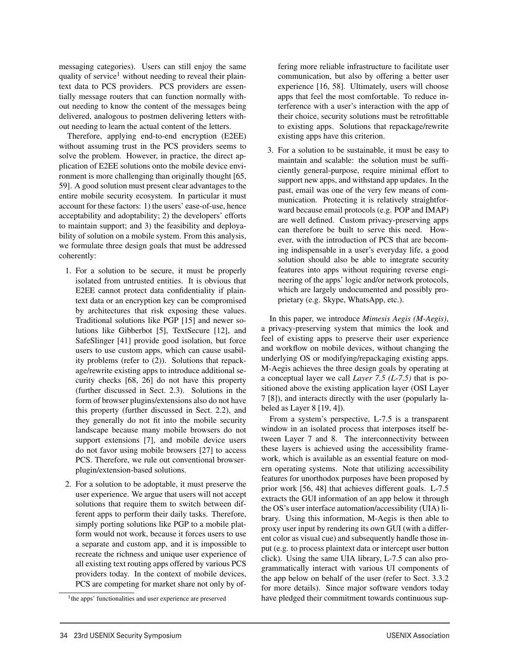messaging categories). Users can still enjoy the same quality of service<sup>1</sup> without needing to reveal their plaintext data to PCS providers. PCS providers are essentially message routers that can function normally without needing to know the content of the messages being delivered, analogous to postmen delivering letters without needing to learn the actual content of the letters.

Therefore, applying end-to-end encryption (E2EE) without assuming trust in the PCS providers seems to solve the problem. However, in practice, the direct application of E2EE solutions onto the mobile device environment is more challenging than originally thought [65, 59]. A good solution must present clear advantages to the entire mobile security ecosystem. In particular it must account for these factors: 1) the users' ease-of-use, hence acceptability and adoptability; 2) the developers' efforts to maintain support; and 3) the feasibility and deployability of solution on a mobile system. From this analysis, we formulate three design goals that must be addressed coherently:

- 1. For a solution to be secure, it must be properly isolated from untrusted entities. It is obvious that E2EE cannot protect data confidentiality if plaintext data or an encryption key can be compromised by architectures that risk exposing these values. Traditional solutions like PGP [15] and newer solutions like Gibberbot [5], TextSecure [12], and SafeSlinger [41] provide good isolation, but force users to use custom apps, which can cause usability problems (refer to (2)). Solutions that repackage/rewrite existing apps to introduce additional security checks [68, 26] do not have this property (further discussed in Sect. 2.3). Solutions in the form of browser plugins/extensions also do not have this property (further discussed in Sect. 2.2), and they generally do not fit into the mobile security landscape because many mobile browsers do not support extensions [7], and mobile device users do not favor using mobile browsers [27] to access PCS. Therefore, we rule out conventional browserplugin/extension-based solutions.
- 2. For a solution to be adoptable, it must preserve the user experience. We argue that users will not accept solutions that require them to switch between different apps to perform their daily tasks. Therefore, simply porting solutions like PGP to a mobile platform would not work, because it forces users to use a separate and custom app, and it is impossible to recreate the richness and unique user experience of all existing text routing apps offered by various PCS providers today. In the context of mobile devices, PCS are competing for market share not only by of-

2

fering more reliable infrastructure to facilitate user communication, but also by offering a better user experience [16, 58]. Ultimately, users will choose apps that feel the most comfortable. To reduce interference with a user's interaction with the app of their choice, security solutions must be retrofittable to existing apps. Solutions that repackage/rewrite existing apps have this criterion.

3. For a solution to be sustainable, it must be easy to maintain and scalable: the solution must be sufficiently general-purpose, require minimal effort to support new apps, and withstand app updates. In the past, email was one of the very few means of communication. Protecting it is relatively straightforward because email protocols (e.g. POP and IMAP) are well defined. Custom privacy-preserving apps can therefore be built to serve this need. However, with the introduction of PCS that are becoming indispensable in a user's everyday life, a good solution should also be able to integrate security features into apps without requiring reverse engineering of the apps' logic and/or network protocols, which are largely undocumented and possibly proprietary (e.g. Skype, WhatsApp, etc.).

In this paper, we introduce *Mimesis Aegis (M-Aegis)*, a privacy-preserving system that mimics the look and feel of existing apps to preserve their user experience and workflow on mobile devices, without changing the underlying OS or modifying/repackaging existing apps. M-Aegis achieves the three design goals by operating at a conceptual layer we call *Layer 7.5 (L-7.5)* that is positioned above the existing application layer (OSI Layer 7 [8]), and interacts directly with the user (popularly labeled as Layer 8 [19, 4]).

From a system's perspective, L-7.5 is a transparent window in an isolated process that interposes itself between Layer 7 and 8. The interconnectivity between these layers is achieved using the accessibility framework, which is available as an essential feature on modern operating systems. Note that utilizing accessibility features for unorthodox purposes have been proposed by prior work [56, 48] that achieves different goals. L-7.5 extracts the GUI information of an app below it through the OS's user interface automation/accessibility (UIA) library. Using this information, M-Aegis is then able to proxy user input by rendering its own GUI (with a different color as visual cue) and subsequently handle those input (e.g. to process plaintext data or intercept user button click). Using the same UIA library, L-7.5 can also programmatically interact with various UI components of the app below on behalf of the user (refer to Sect. 3.3.2 for more details). Since major software vendors today have pledged their commitment towards continuous sup-

<sup>&</sup>lt;sup>1</sup>the apps' functionalities and user experience are preserved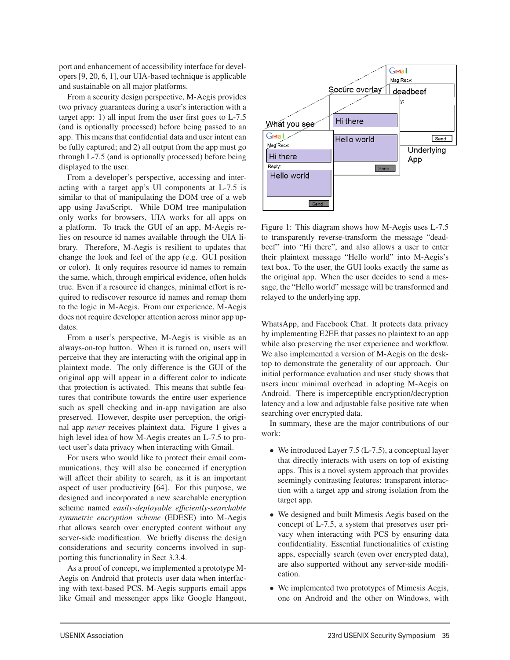port and enhancement of accessibility interface for developers [9, 20, 6, 1], our UIA-based technique is applicable and sustainable on all major platforms.

From a security design perspective, M-Aegis provides two privacy guarantees during a user's interaction with a target app: 1) all input from the user first goes to L-7.5 (and is optionally processed) before being passed to an app. This means that confidential data and user intent can be fully captured; and 2) all output from the app must go through L-7.5 (and is optionally processed) before being displayed to the user.

From a developer's perspective, accessing and interacting with a target app's UI components at L-7.5 is similar to that of manipulating the DOM tree of a web app using JavaScript. While DOM tree manipulation only works for browsers, UIA works for all apps on a platform. To track the GUI of an app, M-Aegis relies on resource id names available through the UIA library. Therefore, M-Aegis is resilient to updates that change the look and feel of the app (e.g. GUI position or color). It only requires resource id names to remain the same, which, through empirical evidence, often holds true. Even if a resource id changes, minimal effort is required to rediscover resource id names and remap them to the logic in M-Aegis. From our experience, M-Aegis does not require developer attention across minor app updates.

From a user's perspective, M-Aegis is visible as an always-on-top button. When it is turned on, users will perceive that they are interacting with the original app in plaintext mode. The only difference is the GUI of the original app will appear in a different color to indicate that protection is activated. This means that subtle features that contribute towards the entire user experience such as spell checking and in-app navigation are also preserved. However, despite user perception, the original app *never* receives plaintext data. Figure 1 gives a high level idea of how M-Aegis creates an L-7.5 to protect user's data privacy when interacting with Gmail.

For users who would like to protect their email communications, they will also be concerned if encryption will affect their ability to search, as it is an important aspect of user productivity [64]. For this purpose, we designed and incorporated a new searchable encryption scheme named *easily-deployable efficiently-searchable symmetric encryption scheme* (EDESE) into M-Aegis that allows search over encrypted content without any server-side modification. We briefly discuss the design considerations and security concerns involved in supporting this functionality in Sect 3.3.4.

As a proof of concept, we implemented a prototype M-Aegis on Android that protects user data when interfacing with text-based PCS. M-Aegis supports email apps like Gmail and messenger apps like Google Hangout,

3



Figure 1: This diagram shows how M-Aegis uses L-7.5 to transparently reverse-transform the message "deadbeef" into "Hi there", and also allows a user to enter their plaintext message "Hello world" into M-Aegis's text box. To the user, the GUI looks exactly the same as the original app. When the user decides to send a message, the "Hello world" message will be transformed and relayed to the underlying app.

WhatsApp, and Facebook Chat. It protects data privacy by implementing E2EE that passes no plaintext to an app while also preserving the user experience and workflow. We also implemented a version of M-Aegis on the desktop to demonstrate the generality of our approach. Our initial performance evaluation and user study shows that users incur minimal overhead in adopting M-Aegis on Android. There is imperceptible encryption/decryption latency and a low and adjustable false positive rate when searching over encrypted data.

In summary, these are the major contributions of our work:

- We introduced Layer 7.5 (L-7.5), a conceptual layer that directly interacts with users on top of existing apps. This is a novel system approach that provides seemingly contrasting features: transparent interaction with a target app and strong isolation from the target app.
- We designed and built Mimesis Aegis based on the concept of L-7.5, a system that preserves user privacy when interacting with PCS by ensuring data confidentiality. Essential functionalities of existing apps, especially search (even over encrypted data), are also supported without any server-side modification.
- We implemented two prototypes of Mimesis Aegis, one on Android and the other on Windows, with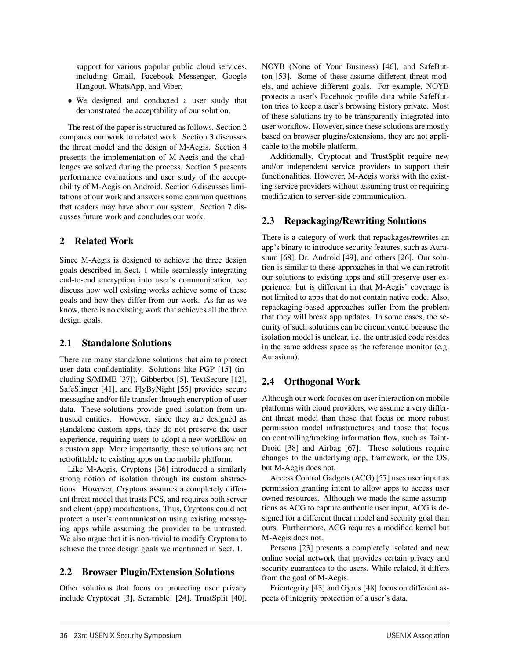support for various popular public cloud services, including Gmail, Facebook Messenger, Google Hangout, WhatsApp, and Viber.

• We designed and conducted a user study that demonstrated the acceptability of our solution.

The rest of the paper is structured as follows. Section 2 compares our work to related work. Section 3 discusses the threat model and the design of M-Aegis. Section 4 presents the implementation of M-Aegis and the challenges we solved during the process. Section 5 presents performance evaluations and user study of the acceptability of M-Aegis on Android. Section 6 discusses limitations of our work and answers some common questions that readers may have about our system. Section 7 discusses future work and concludes our work.

## 2 Related Work

Since M-Aegis is designed to achieve the three design goals described in Sect. 1 while seamlessly integrating end-to-end encryption into user's communication, we discuss how well existing works achieve some of these goals and how they differ from our work. As far as we know, there is no existing work that achieves all the three design goals.

## 2.1 Standalone Solutions

There are many standalone solutions that aim to protect user data confidentiality. Solutions like PGP [15] (including S/MIME [37]), Gibberbot [5], TextSecure [12], SafeSlinger [41], and FlyByNight [55] provides secure messaging and/or file transfer through encryption of user data. These solutions provide good isolation from untrusted entities. However, since they are designed as standalone custom apps, they do not preserve the user experience, requiring users to adopt a new workflow on a custom app. More importantly, these solutions are not retrofittable to existing apps on the mobile platform.

Like M-Aegis, Cryptons [36] introduced a similarly strong notion of isolation through its custom abstractions. However, Cryptons assumes a completely different threat model that trusts PCS, and requires both server and client (app) modifications. Thus, Cryptons could not protect a user's communication using existing messaging apps while assuming the provider to be untrusted. We also argue that it is non-trivial to modify Cryptons to achieve the three design goals we mentioned in Sect. 1.

## 2.2 Browser Plugin/Extension Solutions

Other solutions that focus on protecting user privacy include Cryptocat [3], Scramble! [24], TrustSplit [40], NOYB (None of Your Business) [46], and SafeButton [53]. Some of these assume different threat models, and achieve different goals. For example, NOYB protects a user's Facebook profile data while SafeButton tries to keep a user's browsing history private. Most of these solutions try to be transparently integrated into user workflow. However, since these solutions are mostly based on browser plugins/extensions, they are not applicable to the mobile platform.

Additionally, Cryptocat and TrustSplit require new and/or independent service providers to support their functionalities. However, M-Aegis works with the existing service providers without assuming trust or requiring modification to server-side communication.

## 2.3 Repackaging/Rewriting Solutions

There is a category of work that repackages/rewrites an app's binary to introduce security features, such as Aurasium [68], Dr. Android [49], and others [26]. Our solution is similar to these approaches in that we can retrofit our solutions to existing apps and still preserve user experience, but is different in that M-Aegis' coverage is not limited to apps that do not contain native code. Also, repackaging-based approaches suffer from the problem that they will break app updates. In some cases, the security of such solutions can be circumvented because the isolation model is unclear, i.e. the untrusted code resides in the same address space as the reference monitor (e.g. Aurasium).

## 2.4 Orthogonal Work

4

Although our work focuses on user interaction on mobile platforms with cloud providers, we assume a very different threat model than those that focus on more robust permission model infrastructures and those that focus on controlling/tracking information flow, such as Taint-Droid [38] and Airbag [67]. These solutions require changes to the underlying app, framework, or the OS, but M-Aegis does not.

Access Control Gadgets (ACG) [57] uses user input as permission granting intent to allow apps to access user owned resources. Although we made the same assumptions as ACG to capture authentic user input, ACG is designed for a different threat model and security goal than ours. Furthermore, ACG requires a modified kernel but M-Aegis does not.

Persona [23] presents a completely isolated and new online social network that provides certain privacy and security guarantees to the users. While related, it differs from the goal of M-Aegis.

Frientegrity [43] and Gyrus [48] focus on different aspects of integrity protection of a user's data.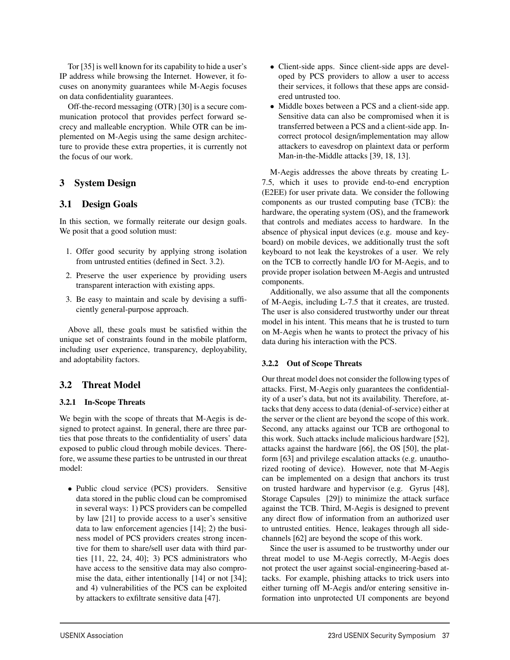Tor [35] is well known for its capability to hide a user's IP address while browsing the Internet. However, it focuses on anonymity guarantees while M-Aegis focuses on data confidentiality guarantees.

Off-the-record messaging (OTR) [30] is a secure communication protocol that provides perfect forward secrecy and malleable encryption. While OTR can be implemented on M-Aegis using the same design architecture to provide these extra properties, it is currently not the focus of our work.

## 3 System Design

## 3.1 Design Goals

In this section, we formally reiterate our design goals. We posit that a good solution must:

- 1. Offer good security by applying strong isolation from untrusted entities (defined in Sect. 3.2).
- 2. Preserve the user experience by providing users transparent interaction with existing apps.
- 3. Be easy to maintain and scale by devising a sufficiently general-purpose approach.

Above all, these goals must be satisfied within the unique set of constraints found in the mobile platform, including user experience, transparency, deployability, and adoptability factors.

## 3.2 Threat Model

#### 3.2.1 In-Scope Threats

We begin with the scope of threats that M-Aegis is designed to protect against. In general, there are three parties that pose threats to the confidentiality of users' data exposed to public cloud through mobile devices. Therefore, we assume these parties to be untrusted in our threat model:

• Public cloud service (PCS) providers. Sensitive data stored in the public cloud can be compromised in several ways: 1) PCS providers can be compelled by law [21] to provide access to a user's sensitive data to law enforcement agencies [14]; 2) the business model of PCS providers creates strong incentive for them to share/sell user data with third parties [11, 22, 24, 40]; 3) PCS administrators who have access to the sensitive data may also compromise the data, either intentionally [14] or not [34]; and 4) vulnerabilities of the PCS can be exploited by attackers to exfiltrate sensitive data [47].

- Client-side apps. Since client-side apps are developed by PCS providers to allow a user to access their services, it follows that these apps are considered untrusted too.
- Middle boxes between a PCS and a client-side app. Sensitive data can also be compromised when it is transferred between a PCS and a client-side app. Incorrect protocol design/implementation may allow attackers to eavesdrop on plaintext data or perform Man-in-the-Middle attacks [39, 18, 13].

M-Aegis addresses the above threats by creating L-7.5, which it uses to provide end-to-end encryption (E2EE) for user private data. We consider the following components as our trusted computing base (TCB): the hardware, the operating system (OS), and the framework that controls and mediates access to hardware. In the absence of physical input devices (e.g. mouse and keyboard) on mobile devices, we additionally trust the soft keyboard to not leak the keystrokes of a user. We rely on the TCB to correctly handle I/O for M-Aegis, and to provide proper isolation between M-Aegis and untrusted components.

Additionally, we also assume that all the components of M-Aegis, including L-7.5 that it creates, are trusted. The user is also considered trustworthy under our threat model in his intent. This means that he is trusted to turn on M-Aegis when he wants to protect the privacy of his data during his interaction with the PCS.

#### 3.2.2 Out of Scope Threats

5

Our threat model does not consider the following types of attacks. First, M-Aegis only guarantees the confidentiality of a user's data, but not its availability. Therefore, attacks that deny access to data (denial-of-service) either at the server or the client are beyond the scope of this work. Second, any attacks against our TCB are orthogonal to this work. Such attacks include malicious hardware [52], attacks against the hardware [66], the OS [50], the platform [63] and privilege escalation attacks (e.g. unauthorized rooting of device). However, note that M-Aegis can be implemented on a design that anchors its trust on trusted hardware and hypervisor (e.g. Gyrus [48], Storage Capsules [29]) to minimize the attack surface against the TCB. Third, M-Aegis is designed to prevent any direct flow of information from an authorized user to untrusted entities. Hence, leakages through all sidechannels [62] are beyond the scope of this work.

Since the user is assumed to be trustworthy under our threat model to use M-Aegis correctly, M-Aegis does not protect the user against social-engineering-based attacks. For example, phishing attacks to trick users into either turning off M-Aegis and/or entering sensitive information into unprotected UI components are beyond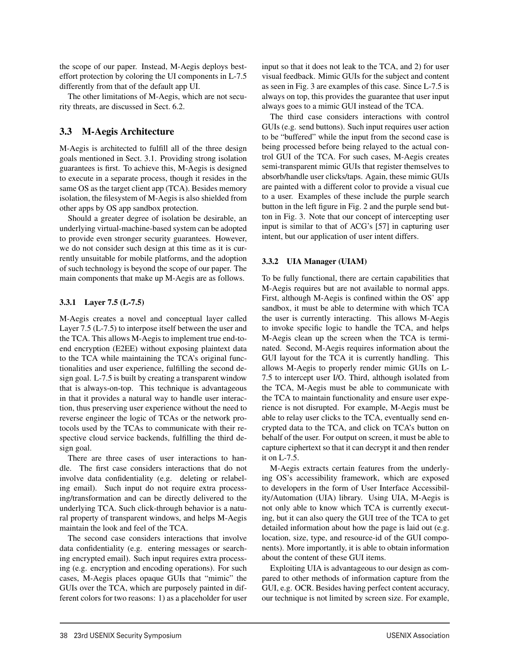the scope of our paper. Instead, M-Aegis deploys besteffort protection by coloring the UI components in L-7.5 differently from that of the default app UI.

The other limitations of M-Aegis, which are not security threats, are discussed in Sect. 6.2.

## 3.3 M-Aegis Architecture

M-Aegis is architected to fulfill all of the three design goals mentioned in Sect. 3.1. Providing strong isolation guarantees is first. To achieve this, M-Aegis is designed to execute in a separate process, though it resides in the same OS as the target client app (TCA). Besides memory isolation, the filesystem of M-Aegis is also shielded from other apps by OS app sandbox protection.

Should a greater degree of isolation be desirable, an underlying virtual-machine-based system can be adopted to provide even stronger security guarantees. However, we do not consider such design at this time as it is currently unsuitable for mobile platforms, and the adoption of such technology is beyond the scope of our paper. The main components that make up M-Aegis are as follows.

#### 3.3.1 Layer 7.5 (L-7.5)

M-Aegis creates a novel and conceptual layer called Layer 7.5 (L-7.5) to interpose itself between the user and the TCA. This allows M-Aegis to implement true end-toend encryption (E2EE) without exposing plaintext data to the TCA while maintaining the TCA's original functionalities and user experience, fulfilling the second design goal. L-7.5 is built by creating a transparent window that is always-on-top. This technique is advantageous in that it provides a natural way to handle user interaction, thus preserving user experience without the need to reverse engineer the logic of TCAs or the network protocols used by the TCAs to communicate with their respective cloud service backends, fulfilling the third design goal.

There are three cases of user interactions to handle. The first case considers interactions that do not involve data confidentiality (e.g. deleting or relabeling email). Such input do not require extra processing/transformation and can be directly delivered to the underlying TCA. Such click-through behavior is a natural property of transparent windows, and helps M-Aegis maintain the look and feel of the TCA.

The second case considers interactions that involve data confidentiality (e.g. entering messages or searching encrypted email). Such input requires extra processing (e.g. encryption and encoding operations). For such cases, M-Aegis places opaque GUIs that "mimic" the GUIs over the TCA, which are purposely painted in different colors for two reasons: 1) as a placeholder for user input so that it does not leak to the TCA, and 2) for user visual feedback. Mimic GUIs for the subject and content as seen in Fig. 3 are examples of this case. Since L-7.5 is always on top, this provides the guarantee that user input always goes to a mimic GUI instead of the TCA.

The third case considers interactions with control GUIs (e.g. send buttons). Such input requires user action to be "buffered" while the input from the second case is being processed before being relayed to the actual control GUI of the TCA. For such cases, M-Aegis creates semi-transparent mimic GUIs that register themselves to absorb/handle user clicks/taps. Again, these mimic GUIs are painted with a different color to provide a visual cue to a user. Examples of these include the purple search button in the left figure in Fig. 2 and the purple send button in Fig. 3. Note that our concept of intercepting user input is similar to that of ACG's [57] in capturing user intent, but our application of user intent differs.

#### 3.3.2 UIA Manager (UIAM)

To be fully functional, there are certain capabilities that M-Aegis requires but are not available to normal apps. First, although M-Aegis is confined within the OS' app sandbox, it must be able to determine with which TCA the user is currently interacting. This allows M-Aegis to invoke specific logic to handle the TCA, and helps M-Aegis clean up the screen when the TCA is terminated. Second, M-Aegis requires information about the GUI layout for the TCA it is currently handling. This allows M-Aegis to properly render mimic GUIs on L-7.5 to intercept user I/O. Third, although isolated from the TCA, M-Aegis must be able to communicate with the TCA to maintain functionality and ensure user experience is not disrupted. For example, M-Aegis must be able to relay user clicks to the TCA, eventually send encrypted data to the TCA, and click on TCA's button on behalf of the user. For output on screen, it must be able to capture ciphertext so that it can decrypt it and then render it on L-7.5.

M-Aegis extracts certain features from the underlying OS's accessibility framework, which are exposed to developers in the form of User Interface Accessibility/Automation (UIA) library. Using UIA, M-Aegis is not only able to know which TCA is currently executing, but it can also query the GUI tree of the TCA to get detailed information about how the page is laid out (e.g. location, size, type, and resource-id of the GUI components). More importantly, it is able to obtain information about the content of these GUI items.

Exploiting UIA is advantageous to our design as compared to other methods of information capture from the GUI, e.g. OCR. Besides having perfect content accuracy, our technique is not limited by screen size. For example,

6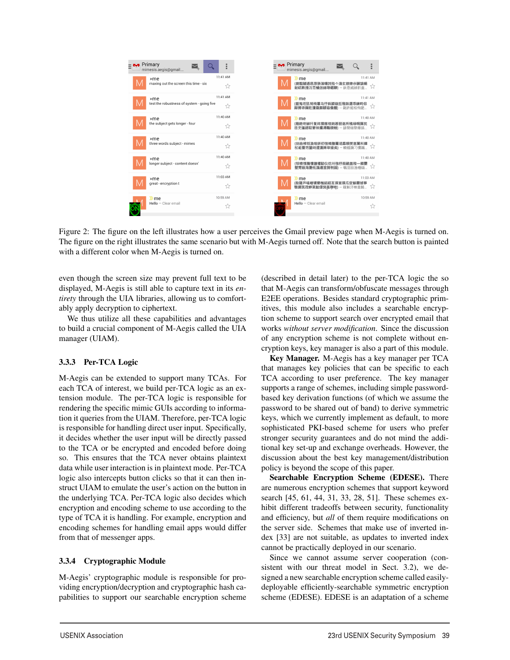

Figure 2: The figure on the left illustrates how a user perceives the Gmail preview page when M-Aegis is turned on. The figure on the right illustrates the same scenario but with M-Aegis turned off. Note that the search button is painted with a different color when M-Aegis is turned on.

7

even though the screen size may prevent full text to be displayed, M-Aegis is still able to capture text in its *entirety* through the UIA libraries, allowing us to comfortably apply decryption to ciphertext.

We thus utilize all these capabilities and advantages to build a crucial component of M-Aegis called the UIA manager (UIAM).

#### 3.3.3 Per-TCA Logic

M-Aegis can be extended to support many TCAs. For each TCA of interest, we build per-TCA logic as an extension module. The per-TCA logic is responsible for rendering the specific mimic GUIs according to information it queries from the UIAM. Therefore, per-TCA logic is responsible for handling direct user input. Specifically, it decides whether the user input will be directly passed to the TCA or be encrypted and encoded before doing so. This ensures that the TCA never obtains plaintext data while user interaction is in plaintext mode. Per-TCA logic also intercepts button clicks so that it can then instruct UIAM to emulate the user's action on the button in the underlying TCA. Per-TCA logic also decides which encryption and encoding scheme to use according to the type of TCA it is handling. For example, encryption and encoding schemes for handling email apps would differ from that of messenger apps.

#### 3.3.4 Cryptographic Module

M-Aegis' cryptographic module is responsible for providing encryption/decryption and cryptographic hash capabilities to support our searchable encryption scheme

(described in detail later) to the per-TCA logic the so that M-Aegis can transform/obfuscate messages through E2EE operations. Besides standard cryptographic primitives, this module also includes a searchable encryption scheme to support search over encrypted email that works *without server modification*. Since the discussion of any encryption scheme is not complete without encryption keys, key manager is also a part of this module.

Key Manager. M-Aegis has a key manager per TCA that manages key policies that can be specific to each TCA according to user preference. The key manager supports a range of schemes, including simple passwordbased key derivation functions (of which we assume the password to be shared out of band) to derive symmetric keys, which we currently implement as default, to more sophisticated PKI-based scheme for users who prefer stronger security guarantees and do not mind the additional key set-up and exchange overheads. However, the discussion about the best key management/distribution policy is beyond the scope of this paper.

Searchable Encryption Scheme (EDESE). There are numerous encryption schemes that support keyword search [45, 61, 44, 31, 33, 28, 51]. These schemes exhibit different tradeoffs between security, functionality and efficiency, but *all* of them require modifications on the server side. Schemes that make use of inverted index [33] are not suitable, as updates to inverted index cannot be practically deployed in our scenario.

Since we cannot assume server cooperation (consistent with our threat model in Sect. 3.2), we designed a new searchable encryption scheme called easilydeployable efficiently-searchable symmetric encryption scheme (EDESE). EDESE is an adaptation of a scheme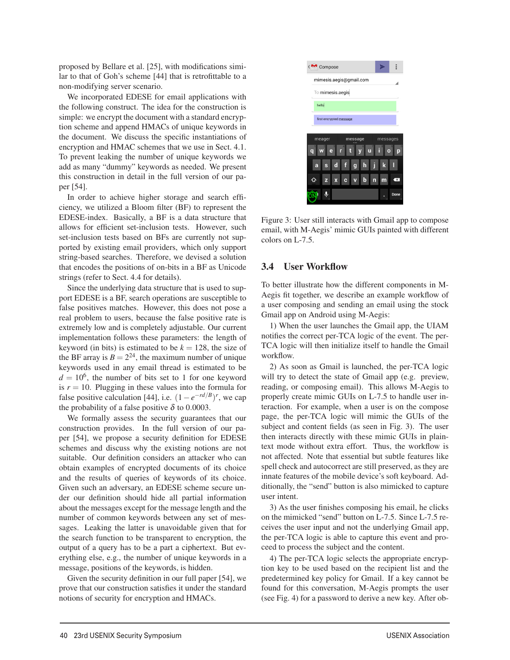proposed by Bellare et al. [25], with modifications similar to that of Goh's scheme [44] that is retrofittable to a non-modifying server scenario.

We incorporated EDESE for email applications with the following construct. The idea for the construction is simple: we encrypt the document with a standard encryption scheme and append HMACs of unique keywords in the document. We discuss the specific instantiations of encryption and HMAC schemes that we use in Sect. 4.1. To prevent leaking the number of unique keywords we add as many "dummy" keywords as needed. We present this construction in detail in the full version of our paper [54].

In order to achieve higher storage and search efficiency, we utilized a Bloom filter (BF) to represent the EDESE-index. Basically, a BF is a data structure that allows for efficient set-inclusion tests. However, such set-inclusion tests based on BFs are currently not supported by existing email providers, which only support string-based searches. Therefore, we devised a solution that encodes the positions of on-bits in a BF as Unicode strings (refer to Sect. 4.4 for details).

Since the underlying data structure that is used to support EDESE is a BF, search operations are susceptible to false positives matches. However, this does not pose a real problem to users, because the false positive rate is extremely low and is completely adjustable. Our current implementation follows these parameters: the length of keyword (in bits) is estimated to be  $k = 128$ , the size of the BF array is  $B = 2^{24}$ , the maximum number of unique keywords used in any email thread is estimated to be  $d = 10^6$ , the number of bits set to 1 for one keyword is  $r = 10$ . Plugging in these values into the formula for false positive calculation [44], i.e.  $(1-e^{-rd/B})^r$ , we cap the probability of a false positive  $\delta$  to 0.0003.

We formally assess the security guarantees that our construction provides. In the full version of our paper [54], we propose a security definition for EDESE schemes and discuss why the existing notions are not suitable. Our definition considers an attacker who can obtain examples of encrypted documents of its choice and the results of queries of keywords of its choice. Given such an adversary, an EDESE scheme secure under our definition should hide all partial information about the messages except for the message length and the number of common keywords between any set of messages. Leaking the latter is unavoidable given that for the search function to be transparent to encryption, the output of a query has to be a part a ciphertext. But everything else, e.g., the number of unique keywords in a message, positions of the keywords, is hidden.

Given the security definition in our full paper [54], we prove that our construction satisfies it under the standard notions of security for encryption and HMACs.

8



Figure 3: User still interacts with Gmail app to compose email, with M-Aegis' mimic GUIs painted with different colors on L-7.5.

#### 3.4 User Workflow

To better illustrate how the different components in M-Aegis fit together, we describe an example workflow of a user composing and sending an email using the stock Gmail app on Android using M-Aegis:

1) When the user launches the Gmail app, the UIAM notifies the correct per-TCA logic of the event. The per-TCA logic will then initialize itself to handle the Gmail workflow.

2) As soon as Gmail is launched, the per-TCA logic will try to detect the state of Gmail app (e.g. preview, reading, or composing email). This allows M-Aegis to properly create mimic GUIs on L-7.5 to handle user interaction. For example, when a user is on the compose page, the per-TCA logic will mimic the GUIs of the subject and content fields (as seen in Fig. 3). The user then interacts directly with these mimic GUIs in plaintext mode without extra effort. Thus, the workflow is not affected. Note that essential but subtle features like spell check and autocorrect are still preserved, as they are innate features of the mobile device's soft keyboard. Additionally, the "send" button is also mimicked to capture user intent.

3) As the user finishes composing his email, he clicks on the mimicked "send" button on L-7.5. Since L-7.5 receives the user input and not the underlying Gmail app, the per-TCA logic is able to capture this event and proceed to process the subject and the content.

4) The per-TCA logic selects the appropriate encryption key to be used based on the recipient list and the predetermined key policy for Gmail. If a key cannot be found for this conversation, M-Aegis prompts the user (see Fig. 4) for a password to derive a new key. After ob-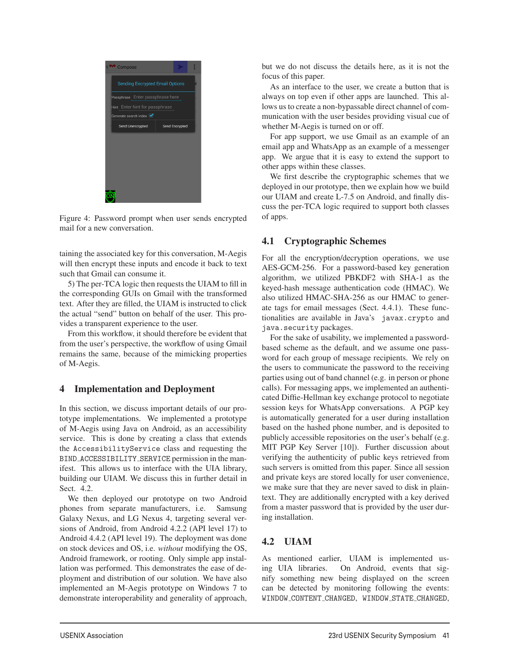

Figure 4: Password prompt when user sends encrypted mail for a new conversation.

taining the associated key for this conversation, M-Aegis will then encrypt these inputs and encode it back to text such that Gmail can consume it.

5) The per-TCA logic then requests the UIAM to fill in the corresponding GUIs on Gmail with the transformed text. After they are filled, the UIAM is instructed to click the actual "send" button on behalf of the user. This provides a transparent experience to the user.

From this workflow, it should therefore be evident that from the user's perspective, the workflow of using Gmail remains the same, because of the mimicking properties of M-Aegis.

## 4 Implementation and Deployment

In this section, we discuss important details of our prototype implementations. We implemented a prototype of M-Aegis using Java on Android, as an accessibility service. This is done by creating a class that extends the AccessibilityService class and requesting the BIND ACCESSIBILITY SERVICE permission in the manifest. This allows us to interface with the UIA library, building our UIAM. We discuss this in further detail in Sect. 4.2.

We then deployed our prototype on two Android phones from separate manufacturers, i.e. Samsung Galaxy Nexus, and LG Nexus 4, targeting several versions of Android, from Android 4.2.2 (API level 17) to Android 4.4.2 (API level 19). The deployment was done on stock devices and OS, i.e. *without* modifying the OS, Android framework, or rooting. Only simple app installation was performed. This demonstrates the ease of deployment and distribution of our solution. We have also implemented an M-Aegis prototype on Windows 7 to demonstrate interoperability and generality of approach, but we do not discuss the details here, as it is not the focus of this paper.

As an interface to the user, we create a button that is always on top even if other apps are launched. This allows us to create a non-bypassable direct channel of communication with the user besides providing visual cue of whether M-Aegis is turned on or off.

For app support, we use Gmail as an example of an email app and WhatsApp as an example of a messenger app. We argue that it is easy to extend the support to other apps within these classes.

We first describe the cryptographic schemes that we deployed in our prototype, then we explain how we build our UIAM and create L-7.5 on Android, and finally discuss the per-TCA logic required to support both classes of apps.

## 4.1 Cryptographic Schemes

For all the encryption/decryption operations, we use AES-GCM-256. For a password-based key generation algorithm, we utilized PBKDF2 with SHA-1 as the keyed-hash message authentication code (HMAC). We also utilized HMAC-SHA-256 as our HMAC to generate tags for email messages (Sect. 4.4.1). These functionalities are available in Java's javax.crypto and java.security packages.

For the sake of usability, we implemented a passwordbased scheme as the default, and we assume one password for each group of message recipients. We rely on the users to communicate the password to the receiving parties using out of band channel (e.g. in person or phone calls). For messaging apps, we implemented an authenticated Diffie-Hellman key exchange protocol to negotiate session keys for WhatsApp conversations. A PGP key is automatically generated for a user during installation based on the hashed phone number, and is deposited to publicly accessible repositories on the user's behalf (e.g. MIT PGP Key Server [10]). Further discussion about verifying the authenticity of public keys retrieved from such servers is omitted from this paper. Since all session and private keys are stored locally for user convenience, we make sure that they are never saved to disk in plaintext. They are additionally encrypted with a key derived from a master password that is provided by the user during installation.

## 4.2 UIAM

9

As mentioned earlier, UIAM is implemented using UIA libraries. On Android, events that signify something new being displayed on the screen can be detected by monitoring following the events: WINDOW CONTENT CHANGED, WINDOW STATE CHANGED,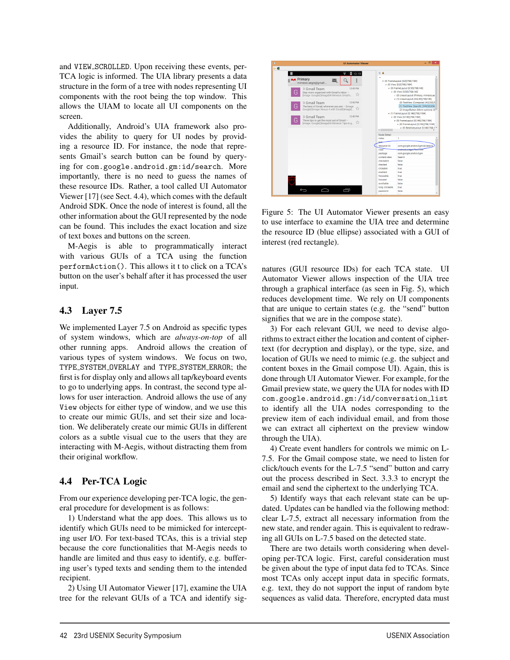and VIEW SCROLLED. Upon receiving these events, per-TCA logic is informed. The UIA library presents a data structure in the form of a tree with nodes representing UI components with the root being the top window. This allows the UIAM to locate all UI components on the screen.

Additionally, Android's UIA framework also provides the ability to query for UI nodes by providing a resource ID. For instance, the node that represents Gmail's search button can be found by querying for com.google.android.gm:id/search. More importantly, there is no need to guess the names of these resource IDs. Rather, a tool called UI Automator Viewer [17] (see Sect. 4.4), which comes with the default Android SDK. Once the node of interest is found, all the other information about the GUI represented by the node can be found. This includes the exact location and size of text boxes and buttons on the screen.

M-Aegis is able to programmatically interact with various GUIs of a TCA using the function performAction(). This allows it t to click on a TCA's button on the user's behalf after it has processed the user input.

## 4.3 Layer 7.5

We implemented Layer 7.5 on Android as specific types of system windows, which are *always-on-top* of all other running apps. Android allows the creation of various types of system windows. We focus on two, TYPE SYSTEM OVERLAY and TYPE SYSTEM ERROR; the first is for display only and allows all tap/keyboard events to go to underlying apps. In contrast, the second type allows for user interaction. Android allows the use of any View objects for either type of window, and we use this to create our mimic GUIs, and set their size and location. We deliberately create our mimic GUIs in different colors as a subtle visual cue to the users that they are interacting with M-Aegis, without distracting them from their original workflow.

## 4.4 Per-TCA Logic

From our experience developing per-TCA logic, the general procedure for development is as follows:

1) Understand what the app does. This allows us to identify which GUIs need to be mimicked for intercepting user I/O. For text-based TCAs, this is a trivial step because the core functionalities that M-Aegis needs to handle are limited and thus easy to identify, e.g. buffering user's typed texts and sending them to the intended recipient.

2) Using UI Automator Viewer [17], examine the UIA tree for the relevant GUIs of a TCA and identify sig-

10



Figure 5: The UI Automator Viewer presents an easy to use interface to examine the UIA tree and determine the resource ID (blue ellipse) associated with a GUI of interest (red rectangle).

natures (GUI resource IDs) for each TCA state. UI Automator Viewer allows inspection of the UIA tree through a graphical interface (as seen in Fig. 5), which reduces development time. We rely on UI components that are unique to certain states (e.g. the "send" button signifies that we are in the compose state).

3) For each relevant GUI, we need to devise algorithms to extract either the location and content of ciphertext (for decryption and display), or the type, size, and location of GUIs we need to mimic (e.g. the subject and content boxes in the Gmail compose UI). Again, this is done through UI Automator Viewer. For example, for the Gmail preview state, we query the UIA for nodes with ID com.google.android.gm:/id/conversation list to identify all the UIA nodes corresponding to the preview item of each individual email, and from those we can extract all ciphertext on the preview window through the UIA).

4) Create event handlers for controls we mimic on L-7.5. For the Gmail compose state, we need to listen for click/touch events for the L-7.5 "send" button and carry out the process described in Sect. 3.3.3 to encrypt the email and send the ciphertext to the underlying TCA.

5) Identify ways that each relevant state can be updated. Updates can be handled via the following method: clear L-7.5, extract all necessary information from the new state, and render again. This is equivalent to redrawing all GUIs on L-7.5 based on the detected state.

There are two details worth considering when developing per-TCA logic. First, careful consideration must be given about the type of input data fed to TCAs. Since most TCAs only accept input data in specific formats, e.g. text, they do not support the input of random byte sequences as valid data. Therefore, encrypted data must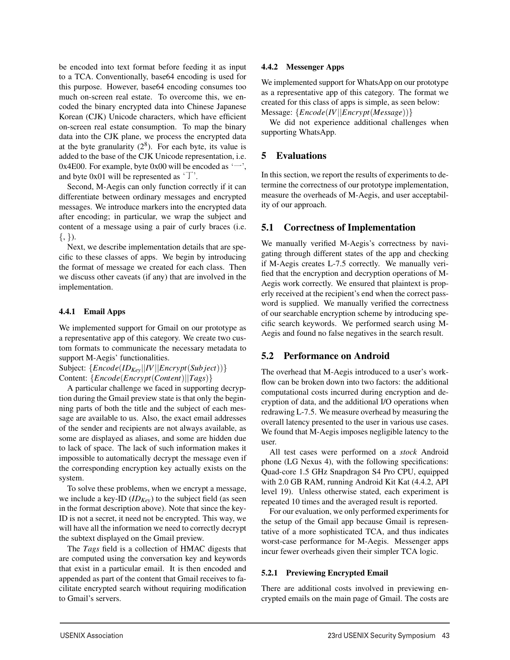be encoded into text format before feeding it as input to a TCA. Conventionally, base64 encoding is used for this purpose. However, base64 encoding consumes too much on-screen real estate. To overcome this, we encoded the binary encrypted data into Chinese Japanese Korean (CJK) Unicode characters, which have efficient on-screen real estate consumption. To map the binary data into the CJK plane, we process the encrypted data at the byte granularity  $(2^8)$ . For each byte, its value is added to the base of the CJK Unicode representation, i.e. 0x4E00. For example, byte 0x00 will be encoded as  $\leftarrow$ , and byte 0x01 will be represented as  $\tau$ .

Second, M-Aegis can only function correctly if it can differentiate between ordinary messages and encrypted messages. We introduce markers into the encrypted data after encoding; in particular, we wrap the subject and content of a message using a pair of curly braces (i.e.  $\{,\}\}.$ 

Next, we describe implementation details that are specific to these classes of apps. We begin by introducing the format of message we created for each class. Then we discuss other caveats (if any) that are involved in the implementation.

#### 4.4.1 Email Apps

We implemented support for Gmail on our prototype as a representative app of this category. We create two custom formats to communicate the necessary metadata to support M-Aegis' functionalities.

Subject: {*Encode*(*IDKey*||*IV*||*Encrypt*(*Sub ject*))} Content: {*Encode*(*Encrypt*(*Content*)||*Tags*)}

A particular challenge we faced in supporting decryption during the Gmail preview state is that only the beginning parts of both the title and the subject of each message are available to us. Also, the exact email addresses of the sender and recipients are not always available, as some are displayed as aliases, and some are hidden due to lack of space. The lack of such information makes it impossible to automatically decrypt the message even if the corresponding encryption key actually exists on the system.

To solve these problems, when we encrypt a message, we include a key-ID  $(ID_{Kev})$  to the subject field (as seen in the format description above). Note that since the key-ID is not a secret, it need not be encrypted. This way, we will have all the information we need to correctly decrypt the subtext displayed on the Gmail preview.

The *Tags* field is a collection of HMAC digests that are computed using the conversation key and keywords that exist in a particular email. It is then encoded and appended as part of the content that Gmail receives to facilitate encrypted search without requiring modification to Gmail's servers.

#### 4.4.2 Messenger Apps

We implemented support for WhatsApp on our prototype as a representative app of this category. The format we created for this class of apps is simple, as seen below: Message: {*Encode*(*IV*||*Encrypt*(*Message*))}

We did not experience additional challenges when supporting WhatsApp.

## 5 Evaluations

In this section, we report the results of experiments to determine the correctness of our prototype implementation, measure the overheads of M-Aegis, and user acceptability of our approach.

## 5.1 Correctness of Implementation

We manually verified M-Aegis's correctness by navigating through different states of the app and checking if M-Aegis creates L-7.5 correctly. We manually verified that the encryption and decryption operations of M-Aegis work correctly. We ensured that plaintext is properly received at the recipient's end when the correct password is supplied. We manually verified the correctness of our searchable encryption scheme by introducing specific search keywords. We performed search using M-Aegis and found no false negatives in the search result.

## 5.2 Performance on Android

The overhead that M-Aegis introduced to a user's workflow can be broken down into two factors: the additional computational costs incurred during encryption and decryption of data, and the additional I/O operations when redrawing L-7.5. We measure overhead by measuring the overall latency presented to the user in various use cases. We found that M-Aegis imposes negligible latency to the user.

All test cases were performed on a *stock* Android phone (LG Nexus 4), with the following specifications: Quad-core 1.5 GHz Snapdragon S4 Pro CPU, equipped with 2.0 GB RAM, running Android Kit Kat (4.4.2, API level 19). Unless otherwise stated, each experiment is repeated 10 times and the averaged result is reported.

For our evaluation, we only performed experiments for the setup of the Gmail app because Gmail is representative of a more sophisticated TCA, and thus indicates worst-case performance for M-Aegis. Messenger apps incur fewer overheads given their simpler TCA logic.

#### 5.2.1 Previewing Encrypted Email

 $\overline{1}$ 

There are additional costs involved in previewing encrypted emails on the main page of Gmail. The costs are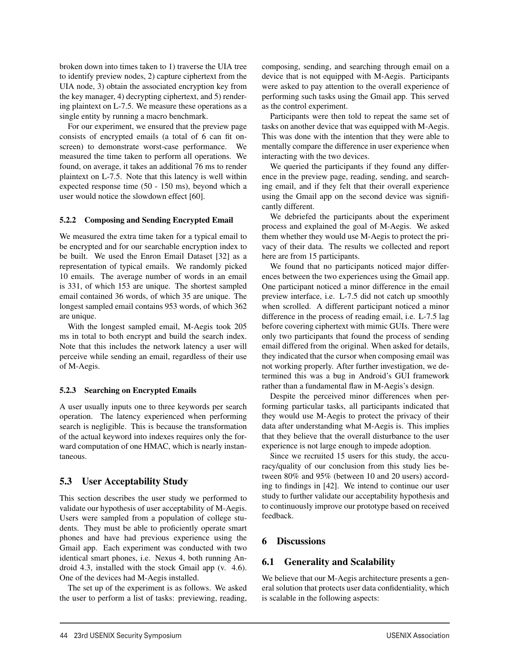broken down into times taken to 1) traverse the UIA tree to identify preview nodes, 2) capture ciphertext from the UIA node, 3) obtain the associated encryption key from the key manager, 4) decrypting ciphertext, and 5) rendering plaintext on L-7.5. We measure these operations as a single entity by running a macro benchmark.

For our experiment, we ensured that the preview page consists of encrypted emails (a total of 6 can fit onscreen) to demonstrate worst-case performance. We measured the time taken to perform all operations. We found, on average, it takes an additional 76 ms to render plaintext on L-7.5. Note that this latency is well within expected response time (50 - 150 ms), beyond which a user would notice the slowdown effect [60].

#### 5.2.2 Composing and Sending Encrypted Email

We measured the extra time taken for a typical email to be encrypted and for our searchable encryption index to be built. We used the Enron Email Dataset [32] as a representation of typical emails. We randomly picked 10 emails. The average number of words in an email is 331, of which 153 are unique. The shortest sampled email contained 36 words, of which 35 are unique. The longest sampled email contains 953 words, of which 362 are unique.

With the longest sampled email, M-Aegis took 205 ms in total to both encrypt and build the search index. Note that this includes the network latency a user will perceive while sending an email, regardless of their use of M-Aegis.

#### 5.2.3 Searching on Encrypted Emails

A user usually inputs one to three keywords per search operation. The latency experienced when performing search is negligible. This is because the transformation of the actual keyword into indexes requires only the forward computation of one HMAC, which is nearly instantaneous.

## 5.3 User Acceptability Study

This section describes the user study we performed to validate our hypothesis of user acceptability of M-Aegis. Users were sampled from a population of college students. They must be able to proficiently operate smart phones and have had previous experience using the Gmail app. Each experiment was conducted with two identical smart phones, i.e. Nexus 4, both running Android 4.3, installed with the stock Gmail app (v. 4.6). One of the devices had M-Aegis installed.

The set up of the experiment is as follows. We asked the user to perform a list of tasks: previewing, reading,

composing, sending, and searching through email on a device that is not equipped with M-Aegis. Participants were asked to pay attention to the overall experience of performing such tasks using the Gmail app. This served as the control experiment.

Participants were then told to repeat the same set of tasks on another device that was equipped with M-Aegis. This was done with the intention that they were able to mentally compare the difference in user experience when interacting with the two devices.

We queried the participants if they found any difference in the preview page, reading, sending, and searching email, and if they felt that their overall experience using the Gmail app on the second device was significantly different.

We debriefed the participants about the experiment process and explained the goal of M-Aegis. We asked them whether they would use M-Aegis to protect the privacy of their data. The results we collected and report here are from 15 participants.

We found that no participants noticed major differences between the two experiences using the Gmail app. One participant noticed a minor difference in the email preview interface, i.e. L-7.5 did not catch up smoothly when scrolled. A different participant noticed a minor difference in the process of reading email, i.e. L-7.5 lag before covering ciphertext with mimic GUIs. There were only two participants that found the process of sending email differed from the original. When asked for details, they indicated that the cursor when composing email was not working properly. After further investigation, we determined this was a bug in Android's GUI framework rather than a fundamental flaw in M-Aegis's design.

Despite the perceived minor differences when performing particular tasks, all participants indicated that they would use M-Aegis to protect the privacy of their data after understanding what M-Aegis is. This implies that they believe that the overall disturbance to the user experience is not large enough to impede adoption.

Since we recruited 15 users for this study, the accuracy/quality of our conclusion from this study lies between 80% and 95% (between 10 and 20 users) according to findings in [42]. We intend to continue our user study to further validate our acceptability hypothesis and to continuously improve our prototype based on received feedback.

## 6 Discussions

 $\overline{a}$ 

## 6.1 Generality and Scalability

We believe that our M-Aegis architecture presents a general solution that protects user data confidentiality, which is scalable in the following aspects: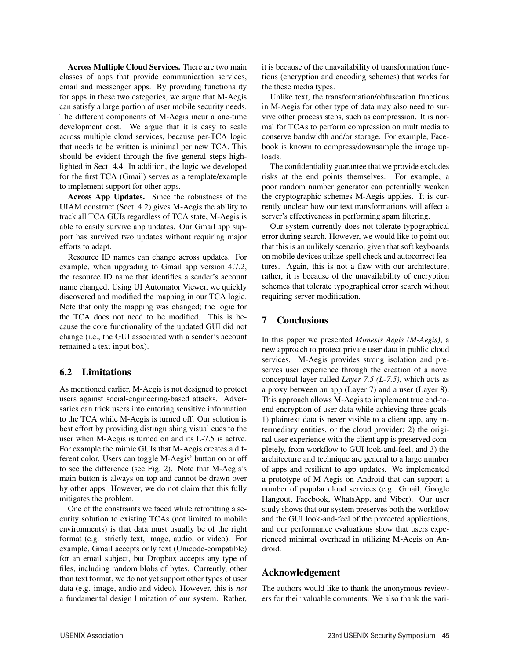Across Multiple Cloud Services. There are two main classes of apps that provide communication services, email and messenger apps. By providing functionality for apps in these two categories, we argue that M-Aegis can satisfy a large portion of user mobile security needs. The different components of M-Aegis incur a one-time development cost. We argue that it is easy to scale across multiple cloud services, because per-TCA logic that needs to be written is minimal per new TCA. This should be evident through the five general steps highlighted in Sect. 4.4. In addition, the logic we developed for the first TCA (Gmail) serves as a template/example to implement support for other apps.

Across App Updates. Since the robustness of the UIAM construct (Sect. 4.2) gives M-Aegis the ability to track all TCA GUIs regardless of TCA state, M-Aegis is able to easily survive app updates. Our Gmail app support has survived two updates without requiring major efforts to adapt.

Resource ID names can change across updates. For example, when upgrading to Gmail app version 4.7.2, the resource ID name that identifies a sender's account name changed. Using UI Automator Viewer, we quickly discovered and modified the mapping in our TCA logic. Note that only the mapping was changed; the logic for the TCA does not need to be modified. This is because the core functionality of the updated GUI did not change (i.e., the GUI associated with a sender's account remained a text input box).

## 6.2 Limitations

As mentioned earlier, M-Aegis is not designed to protect users against social-engineering-based attacks. Adversaries can trick users into entering sensitive information to the TCA while M-Aegis is turned off. Our solution is best effort by providing distinguishing visual cues to the user when M-Aegis is turned on and its L-7.5 is active. For example the mimic GUIs that M-Aegis creates a different color. Users can toggle M-Aegis' button on or off to see the difference (see Fig. 2). Note that M-Aegis's main button is always on top and cannot be drawn over by other apps. However, we do not claim that this fully mitigates the problem.

One of the constraints we faced while retrofitting a security solution to existing TCAs (not limited to mobile environments) is that data must usually be of the right format (e.g. strictly text, image, audio, or video). For example, Gmail accepts only text (Unicode-compatible) for an email subject, but Dropbox accepts any type of files, including random blobs of bytes. Currently, other than text format, we do not yet support other types of user data (e.g. image, audio and video). However, this is *not* a fundamental design limitation of our system. Rather,

it is because of the unavailability of transformation functions (encryption and encoding schemes) that works for the these media types.

Unlike text, the transformation/obfuscation functions in M-Aegis for other type of data may also need to survive other process steps, such as compression. It is normal for TCAs to perform compression on multimedia to conserve bandwidth and/or storage. For example, Facebook is known to compress/downsample the image uploads.

The confidentiality guarantee that we provide excludes risks at the end points themselves. For example, a poor random number generator can potentially weaken the cryptographic schemes M-Aegis applies. It is currently unclear how our text transformations will affect a server's effectiveness in performing spam filtering.

Our system currently does not tolerate typographical error during search. However, we would like to point out that this is an unlikely scenario, given that soft keyboards on mobile devices utilize spell check and autocorrect features. Again, this is not a flaw with our architecture; rather, it is because of the unavailability of encryption schemes that tolerate typographical error search without requiring server modification.

### 7 Conclusions

In this paper we presented *Mimesis Aegis (M-Aegis)*, a new approach to protect private user data in public cloud services. M-Aegis provides strong isolation and preserves user experience through the creation of a novel conceptual layer called *Layer 7.5 (L-7.5)*, which acts as a proxy between an app (Layer 7) and a user (Layer 8). This approach allows M-Aegis to implement true end-toend encryption of user data while achieving three goals: 1) plaintext data is never visible to a client app, any intermediary entities, or the cloud provider; 2) the original user experience with the client app is preserved completely, from workflow to GUI look-and-feel; and 3) the architecture and technique are general to a large number of apps and resilient to app updates. We implemented a prototype of M-Aegis on Android that can support a number of popular cloud services (e.g. Gmail, Google Hangout, Facebook, WhatsApp, and Viber). Our user study shows that our system preserves both the workflow and the GUI look-and-feel of the protected applications, and our performance evaluations show that users experienced minimal overhead in utilizing M-Aegis on Android.

## Acknowledgement

1

The authors would like to thank the anonymous reviewers for their valuable comments. We also thank the vari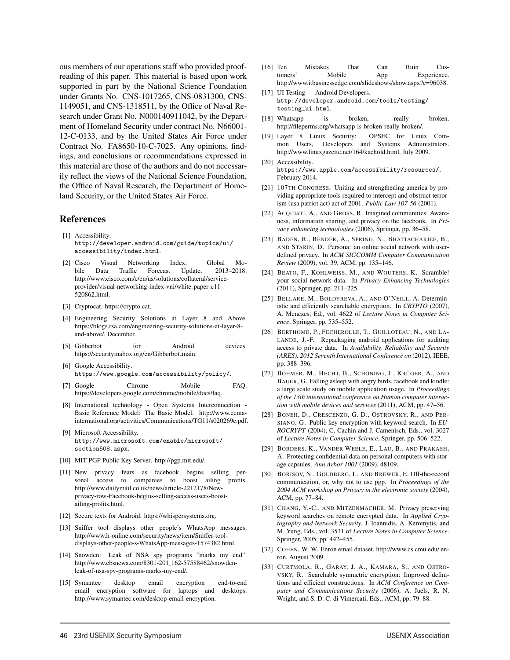ous members of our operations staff who provided proofreading of this paper. This material is based upon work supported in part by the National Science Foundation under Grants No. CNS-1017265, CNS-0831300, CNS-1149051, and CNS-1318511, by the Office of Naval Research under Grant No. N000140911042, by the Department of Homeland Security under contract No. N66001- 12-C-0133, and by the United States Air Force under Contract No. FA8650-10-C-7025. Any opinions, findings, and conclusions or recommendations expressed in this material are those of the authors and do not necessarily reflect the views of the National Science Foundation, the Office of Naval Research, the Department of Homeland Security, or the United States Air Force.

#### References

- [1] Accessibility. http://developer.android.com/guide/topics/ui/ accessibility/index.html.
- [2] Cisco Visual Networking Index: Global Mobile Data Traffic Forecast Update, 2013–2018. http://www.cisco.com/c/en/us/solutions/collateral/serviceprovider/visual-networking-index-vni/white\_paper\_c11-520862.html.
- [3] Cryptocat. https://crypto.cat.
- [4] Engineering Security Solutions at Layer 8 and Above. https://blogs.rsa.com/engineering-security-solutions-at-layer-8 and-above/, December.
- [5] Gibberbot for Android devices. https://securityinabox.org/en/Gibberbot main.
- [6] Google Accessibility. https://www.google.com/accessibility/policy/.
- [7] Google Chrome Mobile FAQ. https://developers.google.com/chrome/mobile/docs/faq.
- [8] International technology Open Systems Interconnection Basic Reference Model: The Basic Model. http://www.ecmainternational.org/activities/Communications/TG11/s020269e.pdf.
- [9] Microsoft Accessibility. http://www.microsoft.com/enable/microsoft/ section508.aspx.
- [10] MIT PGP Public Key Server. http://pgp.mit.edu/.
- [11] New privacy fears as facebook begins selling personal access to companies to boost ailing profits. http://www.dailymail.co.uk/news/article-2212178/Newprivacy-row-Facebook-begins-selling-access-users-boostailing-profits.html.
- [12] Secure texts for Android. https://whispersystems.org.
- [13] Sniffer tool displays other people's WhatsApp messages. http://www.h-online.com/security/news/item/Sniffer-tooldisplays-other-people-s-WhatsApp-messages-1574382.html.
- [14] Snowden: Leak of NSA spy programs "marks my end". http://www.cbsnews.com/8301-201\_162-57588462/snowdenleak-of-nsa-spy-programs-marks-my-end/.
- [15] Symantec desktop email encryption end-to-end email encryption software for laptops and desktops. http://www.symantec.com/desktop-email-encryption.

 $\overline{a}$ 

- [16] Ten Mistakes That Can Ruin Customers' Mobile App Experience. http://www.itbusinessedge.com/slideshows/show.aspx?c=96038.
- [17] UI Testing Android Developers. http://developer.android.com/tools/testing/ testing\_ui.html.
- [18] Whatsapp is broken, really broken. http://fileperms.org/whatsapp-is-broken-really-broken/.
- [19] Layer 8 Linux Security: OPSEC for Linux Common Users, Developers and Systems Administrators. http://www.linuxgazette.net/164/kachold.html, July 2009.
- [20] Accessibility. https://www.apple.com/accessibility/resources/, February 2014.
- [21] 107TH CONGRESS. Uniting and strengthening america by providing appropriate tools required to intercept and obstruct terrorism (usa patriot act) act of 2001. *Public Law 107-56* (2001).
- [22] ACQUISTI, A., AND GROSS, R. Imagined communities: Awareness, information sharing, and privacy on the facebook. In *Privacy enhancing technologies* (2006), Springer, pp. 36–58.
- [23] BADEN, R., BENDER, A., SPRING, N., BHATTACHARJEE, B., AND STARIN, D. Persona: an online social network with userdefined privacy. In *ACM SIGCOMM Computer Communication Review* (2009), vol. 39, ACM, pp. 135–146.
- [24] BEATO, F., KOHLWEISS, M., AND WOUTERS, K. Scramble! your social network data. In *Privacy Enhancing Technologies* (2011), Springer, pp. 211–225.
- [25] BELLARE, M., BOLDYREVA, A., AND O'NEILL, A. Deterministic and efficiently searchable encryption. In *CRYPTO* (2007), A. Menezes, Ed., vol. 4622 of *Lecture Notes in Computer Science*, Springer, pp. 535–552.
- [26] BERTHOME, P., FECHEROLLE, T., GUILLOTEAU, N., AND LA-LANDE, J.-F. Repackaging android applications for auditing access to private data. In *Availability, Reliability and Security (ARES), 2012 Seventh International Conference on* (2012), IEEE, pp. 388–396.
- [27] BÖHMER, M., HECHT, B., SCHÖNING, J., KRÜGER, A., AND BAUER, G. Falling asleep with angry birds, facebook and kindle: a large scale study on mobile application usage. In *Proceedings of the 13th international conference on Human computer interaction with mobile devices and services* (2011), ACM, pp. 47–56.
- [28] BONEH, D., CRESCENZO, G. D., OSTROVSKY, R., AND PER-SIANO, G. Public key encryption with keyword search. In *EU-ROCRYPT* (2004), C. Cachin and J. Camenisch, Eds., vol. 3027 of *Lecture Notes in Computer Science*, Springer, pp. 506–522.
- [29] BORDERS, K., VANDER WEELE, E., LAU, B., AND PRAKASH, A. Protecting confidential data on personal computers with storage capsules. *Ann Arbor 1001* (2009), 48109.
- [30] BORISOV, N., GOLDBERG, I., AND BREWER, E. Off-the-record communication, or, why not to use pgp. In *Proceedings of the 2004 ACM workshop on Privacy in the electronic society* (2004), ACM, pp. 77–84.
- [31] CHANG, Y.-C., AND MITZENMACHER, M. Privacy preserving keyword searches on remote encrypted data. In *Applied Cryptography and Network Security*, J. Ioannidis, A. Keromytis, and M. Yung, Eds., vol. 3531 of *Lecture Notes in Computer Science*. Springer, 2005, pp. 442–455.
- [32] COHEN, W. W. Enron email dataset. http://www.cs.cmu.edu/ enron, August 2009.
- [33] CURTMOLA, R., GARAY, J. A., KAMARA, S., AND OSTRO-VSKY, R. Searchable symmetric encryption: Improved definitions and efficient constructions. In *ACM Conference on Computer and Communications Security* (2006), A. Juels, R. N. Wright, and S. D. C. di Vimercati, Eds., ACM, pp. 79–88.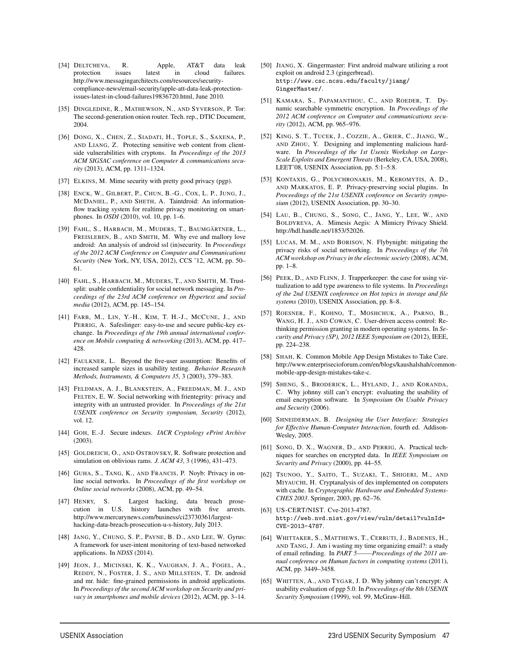- [34] DELTCHEVA, R. Apple, AT&T data leak<br>protection issues latest in cloud failures. protection issues latest in http://www.messagingarchitects.com/resources/securitycompliance-news/email-security/apple-att-data-leak-protectionissues-latest-in-cloud-failures19836720.html, June 2010.
- [35] DINGLEDINE, R., MATHEWSON, N., AND SYVERSON, P. Tor: The second-generation onion router. Tech. rep., DTIC Document, 2004.
- [36] DONG, X., CHEN, Z., SIADATI, H., TOPLE, S., SAXENA, P., AND LIANG, Z. Protecting sensitive web content from clientside vulnerabilities with cryptons. In *Proceedings of the 2013 ACM SIGSAC conference on Computer & communications security* (2013), ACM, pp. 1311–1324.
- [37] ELKINS, M. Mime security with pretty good privacy (pgp).
- [38] ENCK, W., GILBERT, P., CHUN, B.-G., COX, L. P., JUNG, J., MCDANIEL, P., AND SHETH, A. Taintdroid: An informationflow tracking system for realtime privacy monitoring on smartphones. In *OSDI* (2010), vol. 10, pp. 1–6.
- [39] FAHL, S., HARBACH, M., MUDERS, T., BAUMGÄRTNER, L., FREISLEBEN, B., AND SMITH, M. Why eve and mallory love android: An analysis of android ssl (in)security. In *Proceedings of the 2012 ACM Conference on Computer and Communications Security* (New York, NY, USA, 2012), CCS '12, ACM, pp. 50– 61.
- [40] FAHL, S., HARBACH, M., MUDERS, T., AND SMITH, M. Trustsplit: usable confidentiality for social network messaging. In *Proceedings of the 23rd ACM conference on Hypertext and social media* (2012), ACM, pp. 145–154.
- [41] FARB, M., LIN, Y.-H., KIM, T. H.-J., MCCUNE, J., AND PERRIG, A. Safeslinger: easy-to-use and secure public-key exchange. In *Proceedings of the 19th annual international conference on Mobile computing & networking* (2013), ACM, pp. 417– 428.
- [42] FAULKNER, L. Beyond the five-user assumption: Benefits of increased sample sizes in usability testing. *Behavior Research Methods, Instruments, & Computers 35*, 3 (2003), 379–383.
- [43] FELDMAN, A. J., BLANKSTEIN, A., FREEDMAN, M. J., AND FELTEN, E. W. Social networking with frientegrity: privacy and integrity with an untrusted provider. In *Proceedings of the 21st USENIX conference on Security symposium, Security* (2012), vol. 12.
- [44] GOH, E.-J. Secure indexes. *IACR Cryptology ePrint Archive* (2003).
- [45] GOLDREICH, O., AND OSTROVSKY, R. Software protection and simulation on oblivious rams. *J. ACM 43*, 3 (1996), 431–473.
- [46] GUHA, S., TANG, K., AND FRANCIS, P. Noyb: Privacy in online social networks. In *Proceedings of the first workshop on Online social networks* (2008), ACM, pp. 49–54.
- [47] HENRY, S. Largest hacking, data breach prosecution in U.S. history launches with five arrests. http://www.mercurynews.com/business/ci23730361/largesthacking-data-breach-prosecution-u-s-history, July 2013.
- [48] JANG, Y., CHUNG, S. P., PAYNE, B. D., AND LEE, W. Gyrus: A framework for user-intent monitoring of text-based networked applications. In *NDSS* (2014).
- [49] JEON, J., MICINSKI, K. K., VAUGHAN, J. A., FOGEL, A., REDDY, N., FOSTER, J. S., AND MILLSTEIN, T. Dr. android and mr. hide: fine-grained permissions in android applications. In *Proceedings of the second ACM workshop on Security and privacy in smartphones and mobile devices* (2012), ACM, pp. 3–14.
- [50] JIANG, X. Gingermaster: First android malware utilizing a root exploit on android 2.3 (gingerbread). http://www.csc.ncsu.edu/faculty/jiang/ GingerMaster/.
- [51] KAMARA, S., PAPAMANTHOU, C., AND ROEDER, T. Dynamic searchable symmetric encryption. In *Proceedings of the 2012 ACM conference on Computer and communications security* (2012), ACM, pp. 965–976.
- [52] KING, S. T., TUCEK, J., COZZIE, A., GRIER, C., JIANG, W., AND ZHOU, Y. Designing and implementing malicious hardware. In *Proceedings of the 1st Usenix Workshop on Large-Scale Exploits and Emergent Threats*(Berkeley, CA, USA, 2008), LEET'08, USENIX Association, pp. 5:1–5:8.
- [53] KONTAXIS, G., POLYCHRONAKIS, M., KEROMYTIS, A. D., AND MARKATOS, E. P. Privacy-preserving social plugins. In *Proceedings of the 21st USENIX conference on Security symposium* (2012), USENIX Association, pp. 30–30.
- [54] LAU, B., CHUNG, S., SONG, C., JANG, Y., LEE, W., AND BOLDYREVA, A. Mimesis Aegis: A Mimicry Privacy Shield. http://hdl.handle.net/1853/52026.
- [55] LUCAS, M. M., AND BORISOV, N. Flybynight: mitigating the privacy risks of social networking. In *Proceedings of the 7th ACM workshop on Privacy in the electronic society* (2008), ACM, pp. 1–8.
- [56] PEEK, D., AND FLINN, J. Trapperkeeper: the case for using virtualization to add type awareness to file systems. In *Proceedings of the 2nd USENIX conference on Hot topics in storage and file systems* (2010), USENIX Association, pp. 8–8.
- [57] ROESNER, F., KOHNO, T., MOSHCHUK, A., PARNO, B., WANG, H. J., AND COWAN, C. User-driven access control: Rethinking permission granting in modern operating systems. In *Security and Privacy (SP), 2012 IEEE Symposium on* (2012), IEEE, pp. 224–238.
- [58] SHAH, K. Common Mobile App Design Mistakes to Take Care. http://www.enterprisecioforum.com/en/blogs/kaushalshah/commonmobile-app-design-mistakes-take-c.
- [59] SHENG, S., BRODERICK, L., HYLAND, J., AND KORANDA, C. Why johnny still can't encrypt: evaluating the usability of email encryption software. In *Symposium On Usable Privacy and Security* (2006).
- [60] SHNEIDERMAN, B. *Designing the User Interface: Strategies for Effective Human-Computer Interaction*, fourth ed. Addison-Wesley, 2005.
- [61] SONG, D. X., WAGNER, D., AND PERRIG, A. Practical techniques for searches on encrypted data. In *IEEE Symposium on Security and Privacy* (2000), pp. 44–55.
- [62] TSUNOO, Y., SAITO, T., SUZAKI, T., SHIGERI, M., AND MIYAUCHI, H. Cryptanalysis of des implemented on computers with cache. In *Cryptographic Hardware and Embedded Systems-CHES 2003*. Springer, 2003, pp. 62–76.
- [63] US-CERT/NIST. Cve-2013-4787. http://web.nvd.nist.gov/view/vuln/detail?vulnId= CVE-2013-4787.
- [64] WHITTAKER, S., MATTHEWS, T., CERRUTI, J., BADENES, H., AND TANG, J. Am i wasting my time organizing email?: a study of email refinding. In *PART 5——–Proceedings of the 2011 annual conference on Human factors in computing systems* (2011), ACM, pp. 3449–3458.
- [65] WHITTEN, A., AND TYGAR, J. D. Why johnny can't encrypt: A usability evaluation of pgp 5.0. In *Proceedings of the 8th USENIX Security Symposium* (1999), vol. 99, McGraw-Hill.

15